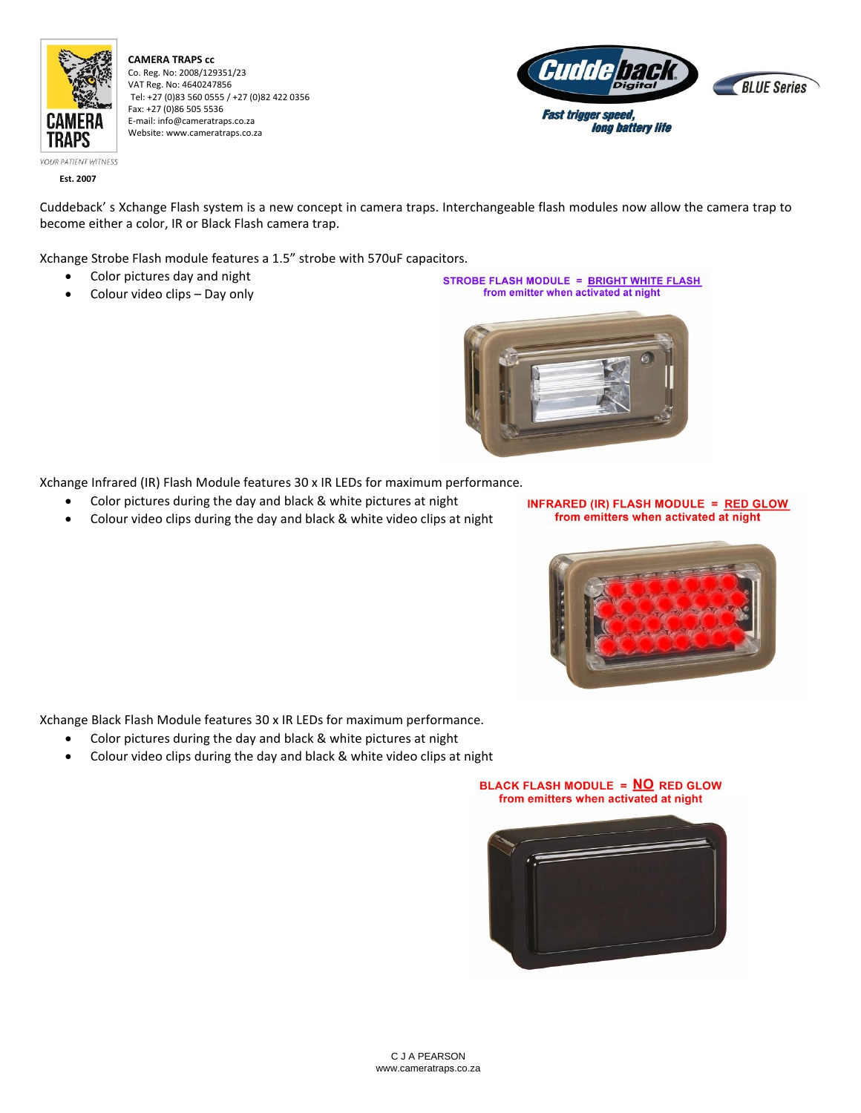

**CAMERA TRAPS cc**  Co. Reg. No: 2008/129351/23 VAT Reg. No: 4640247856 Tel: +27 (0)83 560 0555 / +27 (0)82 422 0356 Fax: +27 (0)86 505 5536 E-mail: info@cameratraps.co.za Website: www.cameratraps.co.za



 **Est. 2007**

Cuddeback' s Xchange Flash system is a new concept in camera traps. Interchangeable flash modules now allow the camera trap to become either a color, IR or Black Flash camera trap.

Xchange Strobe Flash module features a 1.5" strobe with 570uF capacitors.

- Color pictures day and night
- Colour video clips Day only

STROBE FLASH MODULE = BRIGHT WHITE FLASH from emitter when activated at night



Xchange Infrared (IR) Flash Module features 30 x IR LEDs for maximum performance.

- Color pictures during the day and black & white pictures at night
- Colour video clips during the day and black & white video clips at night

Xchange Black Flash Module features 30 x IR LEDs for maximum performance.

- Color pictures during the day and black & white pictures at night
- Colour video clips during the day and black & white video clips at night

## **BLACK FLASH MODULE = NO RED GLOW** from emitters when activated at night



INFRARED (IR) FLASH MODULE = RED GLOW from emitters when activated at night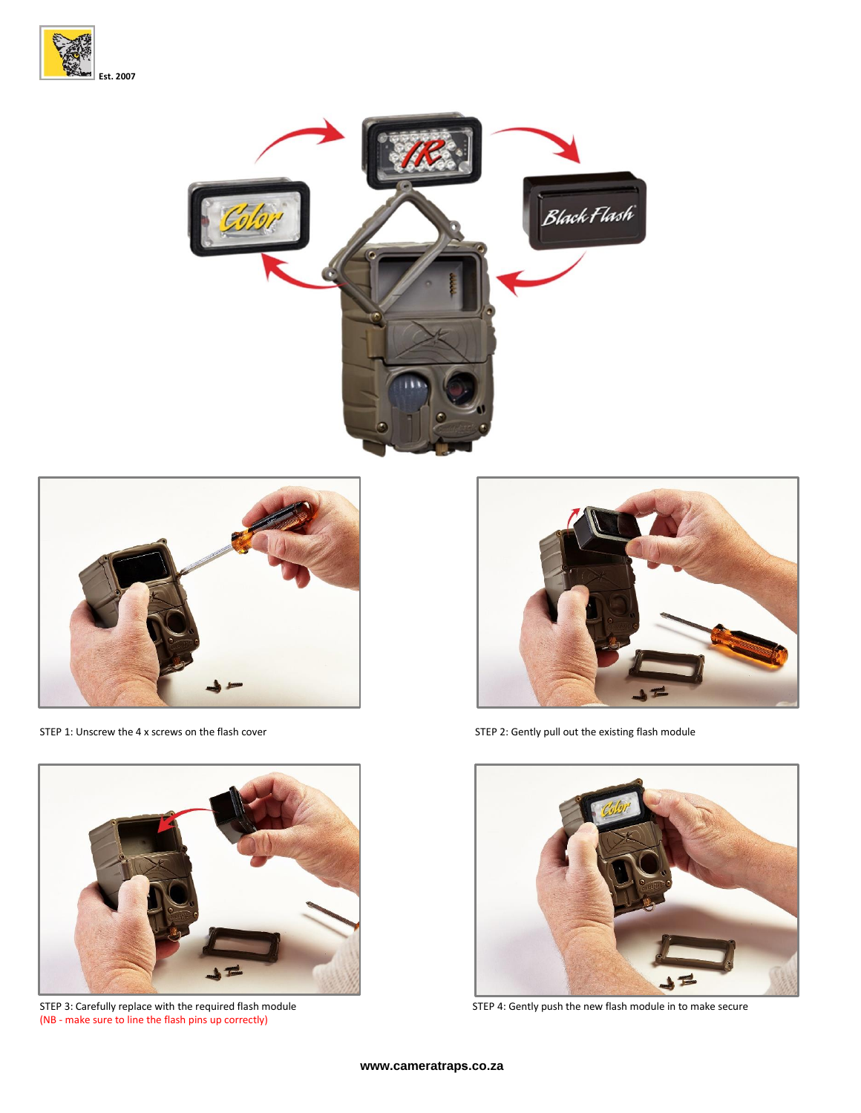







STEP 3: Carefully replace with the required flash module STEP 4: Gently push the new flash module in to make secure (NB - make sure to line the flash pins up correctly)



STEP 1: Unscrew the 4 x screws on the flash cover STEP 2: Gently pull out the existing flash module